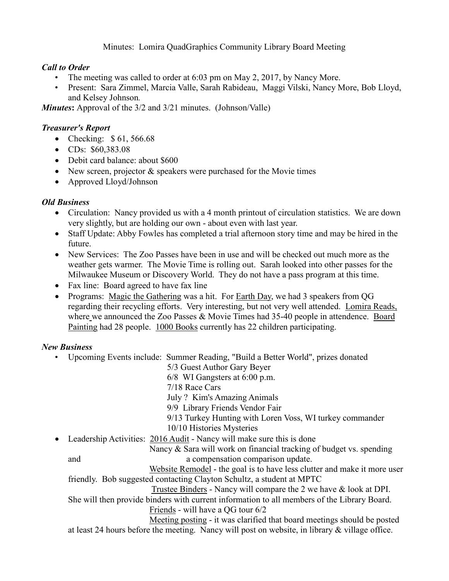Minutes: Lomira QuadGraphics Community Library Board Meeting

# *Call to Order*

- The meeting was called to order at 6:03 pm on May 2, 2017, by Nancy More.
- Present: Sara Zimmel, Marcia Valle, Sarah Rabideau, Maggi Vilski, Nancy More, Bob Lloyd, and Kelsey Johnson*.*

*Minutes*: Approval of the 3/2 and 3/21 minutes. (Johnson/Valle)

# *Treasurer's Report*

- Checking: \$61,566.68
- CDs: \$60,383.08
- Debit card balance: about \$600
- New screen, projector & speakers were purchased for the Movie times
- Approved Lloyd/Johnson

# *Old Business*

- Circulation: Nancy provided us with a 4 month printout of circulation statistics. We are down very slightly, but are holding our own - about even with last year.
- Staff Update: Abby Fowles has completed a trial afternoon story time and may be hired in the future.
- New Services: The Zoo Passes have been in use and will be checked out much more as the weather gets warmer. The Movie Time is rolling out. Sarah looked into other passes for the Milwaukee Museum or Discovery World. They do not have a pass program at this time.
- Fax line: Board agreed to have fax line
- Programs: Magic the Gathering was a hit. For Earth Day, we had 3 speakers from QG regarding their recycling efforts. Very interesting, but not very well attended. Lomira Reads, where we announced the Zoo Passes & Movie Times had 35-40 people in attendence. Board Painting had 28 people. 1000 Books currently has 22 children participating.

# *New Business*

• Upcoming Events include: Summer Reading, "Build a Better World", prizes donated

5/3 Guest Author Gary Beyer

6/8 WI Gangsters at 6:00 p.m.

7/18 Race Cars

July ? Kim's Amazing Animals

9/9 Library Friends Vendor Fair

9/13 Turkey Hunting with Loren Voss, WI turkey commander

10/10 Histories Mysteries

• Leadership Activities: 2016 Audit - Nancy will make sure this is done

 Nancy & Sara will work on financial tracking of budget vs. spending and a compensation comparison update.

 Website Remodel - the goal is to have less clutter and make it more user friendly. Bob suggested contacting Clayton Schultz, a student at MPTC

Trustee Binders - Nancy will compare the 2 we have & look at DPI.

#### She will then provide binders with current information to all members of the Library Board. Friends - will have a QG tour 6/2

 Meeting posting - it was clarified that board meetings should be posted at least 24 hours before the meeting. Nancy will post on website, in library & village office.